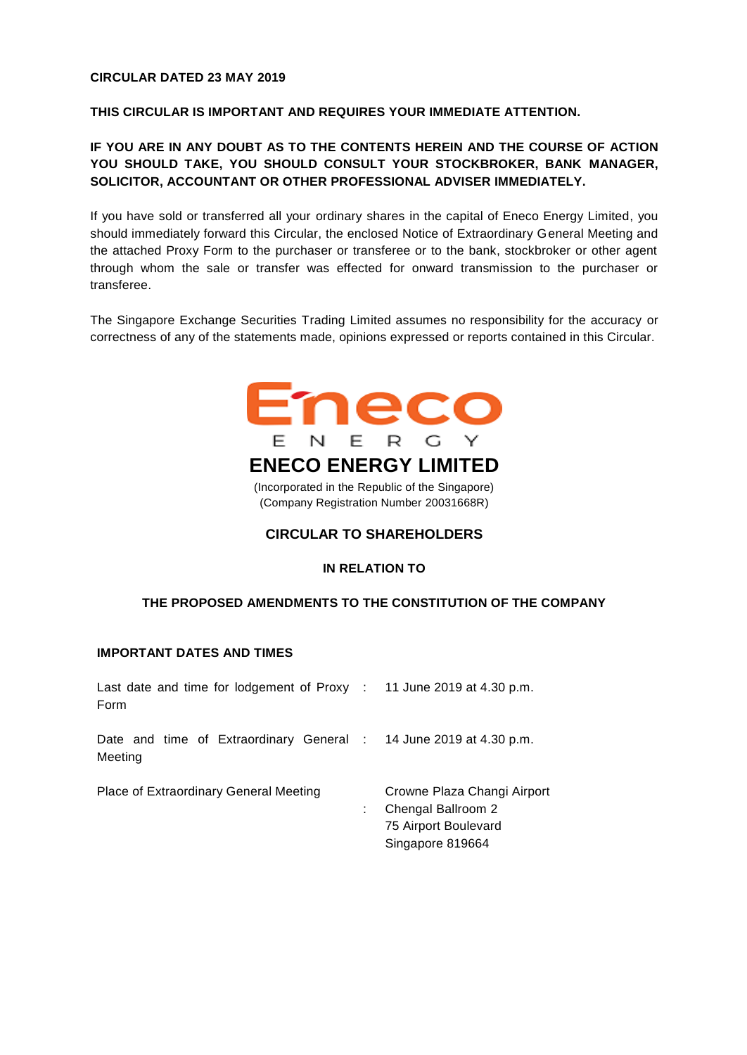#### **CIRCULAR DATED 23 MAY 2019**

#### **THIS CIRCULAR IS IMPORTANT AND REQUIRES YOUR IMMEDIATE ATTENTION.**

### **IF YOU ARE IN ANY DOUBT AS TO THE CONTENTS HEREIN AND THE COURSE OF ACTION YOU SHOULD TAKE, YOU SHOULD CONSULT YOUR STOCKBROKER, BANK MANAGER, SOLICITOR, ACCOUNTANT OR OTHER PROFESSIONAL ADVISER IMMEDIATELY.**

If you have sold or transferred all your ordinary shares in the capital of Eneco Energy Limited, you should immediately forward this Circular, the enclosed Notice of Extraordinary General Meeting and the attached Proxy Form to the purchaser or transferee or to the bank, stockbroker or other agent through whom the sale or transfer was effected for onward transmission to the purchaser or transferee.

The Singapore Exchange Securities Trading Limited assumes no responsibility for the accuracy or correctness of any of the statements made, opinions expressed or reports contained in this Circular.



(Incorporated in the Republic of the Singapore) (Company Registration Number 20031668R)

#### **CIRCULAR TO SHAREHOLDERS**

#### **IN RELATION TO**

#### **THE PROPOSED AMENDMENTS TO THE CONSTITUTION OF THE COMPANY**

### **IMPORTANT DATES AND TIMES**

| Last date and time for lodgement of Proxy : 11 June 2019 at 4.30 p.m.<br>Form |                                                                                               |
|-------------------------------------------------------------------------------|-----------------------------------------------------------------------------------------------|
| Date and time of Extraordinary General : 14 June 2019 at 4.30 p.m.<br>Meeting |                                                                                               |
| Place of Extraordinary General Meeting                                        | Crowne Plaza Changi Airport<br>Chengal Ballroom 2<br>75 Airport Boulevard<br>Singapore 819664 |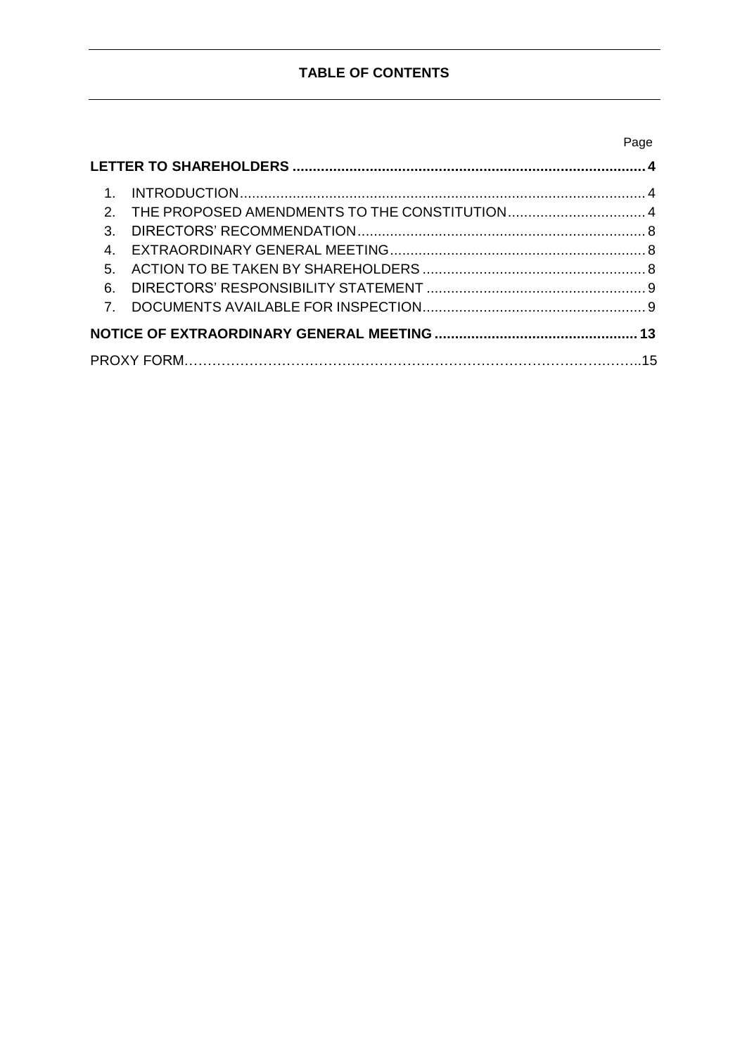## **TABLE OF CONTENTS**

| 1 <sup>1</sup>              |                                                 |  |
|-----------------------------|-------------------------------------------------|--|
|                             | 2. THE PROPOSED AMENDMENTS TO THE CONSTITUTION4 |  |
| $\mathcal{S}_{\mathcal{S}}$ |                                                 |  |
|                             |                                                 |  |
|                             |                                                 |  |
| 6.                          |                                                 |  |
| 7 <sup>7</sup>              |                                                 |  |
|                             |                                                 |  |
|                             |                                                 |  |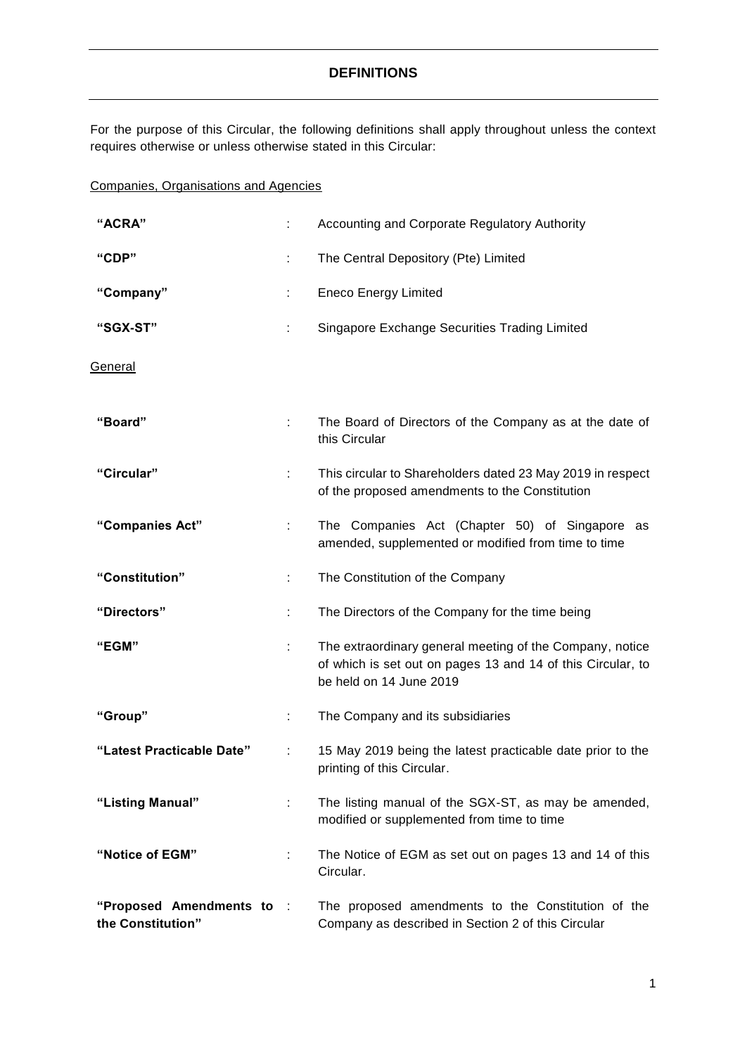### **DEFINITIONS**

For the purpose of this Circular, the following definitions shall apply throughout unless the context requires otherwise or unless otherwise stated in this Circular:

### Companies, Organisations and Agencies

| "ACRA"                                       |   | Accounting and Corporate Regulatory Authority                                                                                                      |
|----------------------------------------------|---|----------------------------------------------------------------------------------------------------------------------------------------------------|
| "CDP"                                        |   | The Central Depository (Pte) Limited                                                                                                               |
| "Company"                                    |   | <b>Eneco Energy Limited</b>                                                                                                                        |
| "SGX-ST"                                     | ÷ | Singapore Exchange Securities Trading Limited                                                                                                      |
| General                                      |   |                                                                                                                                                    |
| "Board"                                      |   | The Board of Directors of the Company as at the date of<br>this Circular                                                                           |
| "Circular"                                   |   | This circular to Shareholders dated 23 May 2019 in respect<br>of the proposed amendments to the Constitution                                       |
| "Companies Act"                              | ÷ | The Companies Act (Chapter 50) of Singapore as<br>amended, supplemented or modified from time to time                                              |
| "Constitution"                               | ÷ | The Constitution of the Company                                                                                                                    |
| "Directors"                                  | ÷ | The Directors of the Company for the time being                                                                                                    |
| "EGM"                                        |   | The extraordinary general meeting of the Company, notice<br>of which is set out on pages 13 and 14 of this Circular, to<br>be held on 14 June 2019 |
| "Group"                                      | ÷ | The Company and its subsidiaries                                                                                                                   |
| "Latest Practicable Date"                    |   | 15 May 2019 being the latest practicable date prior to the<br>printing of this Circular.                                                           |
| "Listing Manual"                             | ÷ | The listing manual of the SGX-ST, as may be amended,<br>modified or supplemented from time to time                                                 |
| "Notice of EGM"                              |   | The Notice of EGM as set out on pages 13 and 14 of this<br>Circular.                                                                               |
| "Proposed Amendments to<br>the Constitution" |   | The proposed amendments to the Constitution of the<br>Company as described in Section 2 of this Circular                                           |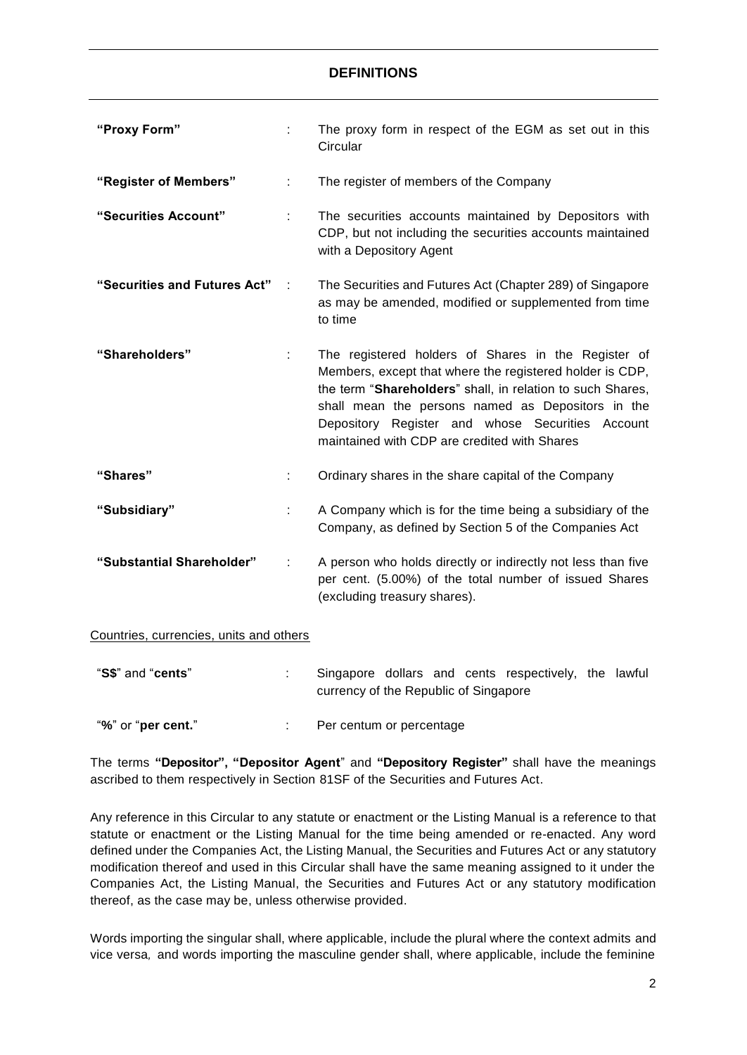### **DEFINITIONS**

| "Proxy Form"                 |                | The proxy form in respect of the EGM as set out in this<br>Circular                                                                                                                                                                                                                                                                    |
|------------------------------|----------------|----------------------------------------------------------------------------------------------------------------------------------------------------------------------------------------------------------------------------------------------------------------------------------------------------------------------------------------|
| "Register of Members"        | ÷              | The register of members of the Company                                                                                                                                                                                                                                                                                                 |
| "Securities Account"         | ÷              | The securities accounts maintained by Depositors with<br>CDP, but not including the securities accounts maintained<br>with a Depository Agent                                                                                                                                                                                          |
| "Securities and Futures Act" | $\mathbb{R}^2$ | The Securities and Futures Act (Chapter 289) of Singapore<br>as may be amended, modified or supplemented from time<br>to time                                                                                                                                                                                                          |
| "Shareholders"               |                | The registered holders of Shares in the Register of<br>Members, except that where the registered holder is CDP,<br>the term "Shareholders" shall, in relation to such Shares,<br>shall mean the persons named as Depositors in the<br>Depository Register and whose Securities Account<br>maintained with CDP are credited with Shares |
| "Shares"                     |                | Ordinary shares in the share capital of the Company                                                                                                                                                                                                                                                                                    |
| "Subsidiary"                 | ÷              | A Company which is for the time being a subsidiary of the<br>Company, as defined by Section 5 of the Companies Act                                                                                                                                                                                                                     |
| "Substantial Shareholder"    | ÷              | A person who holds directly or indirectly not less than five<br>per cent. (5.00%) of the total number of issued Shares<br>(excluding treasury shares).                                                                                                                                                                                 |

Countries, currencies, units and others

| "S\$" and " <b>cents</b> "  |                                       |  | Singapore dollars and cents respectively, the lawful |  |
|-----------------------------|---------------------------------------|--|------------------------------------------------------|--|
|                             | currency of the Republic of Singapore |  |                                                      |  |
| "%" or " <b>per cent.</b> " | Per centum or percentage              |  |                                                      |  |

The terms **"Depositor", "Depositor Agent**" and **"Depository Register"** shall have the meanings ascribed to them respectively in Section 81SF of the Securities and Futures Act.

Any reference in this Circular to any statute or enactment or the Listing Manual is a reference to that statute or enactment or the Listing Manual for the time being amended or re-enacted. Any word defined under the Companies Act, the Listing Manual, the Securities and Futures Act or any statutory modification thereof and used in this Circular shall have the same meaning assigned to it under the Companies Act, the Listing Manual, the Securities and Futures Act or any statutory modification thereof, as the case may be, unless otherwise provided.

Words importing the singular shall, where applicable, include the plural where the context admits and vice versa*,* and words importing the masculine gender shall, where applicable, include the feminine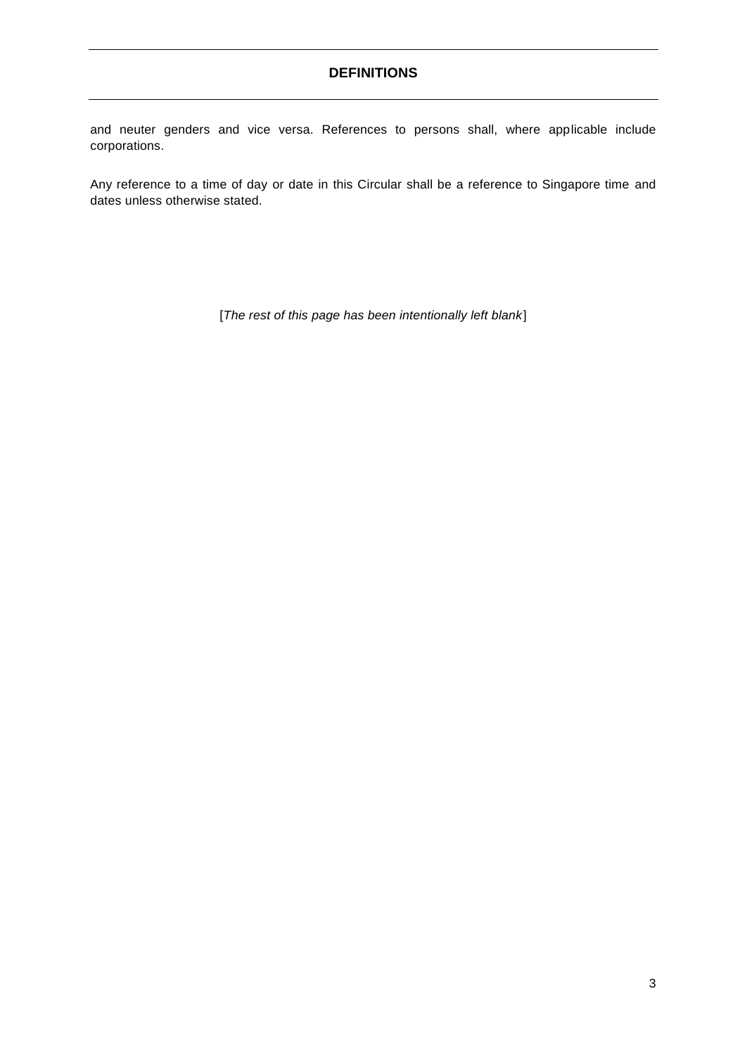### **DEFINITIONS**

and neuter genders and vice versa. References to persons shall, where applicable include corporations.

Any reference to a time of day or date in this Circular shall be a reference to Singapore time and dates unless otherwise stated.

[*The rest of this page has been intentionally left blank*]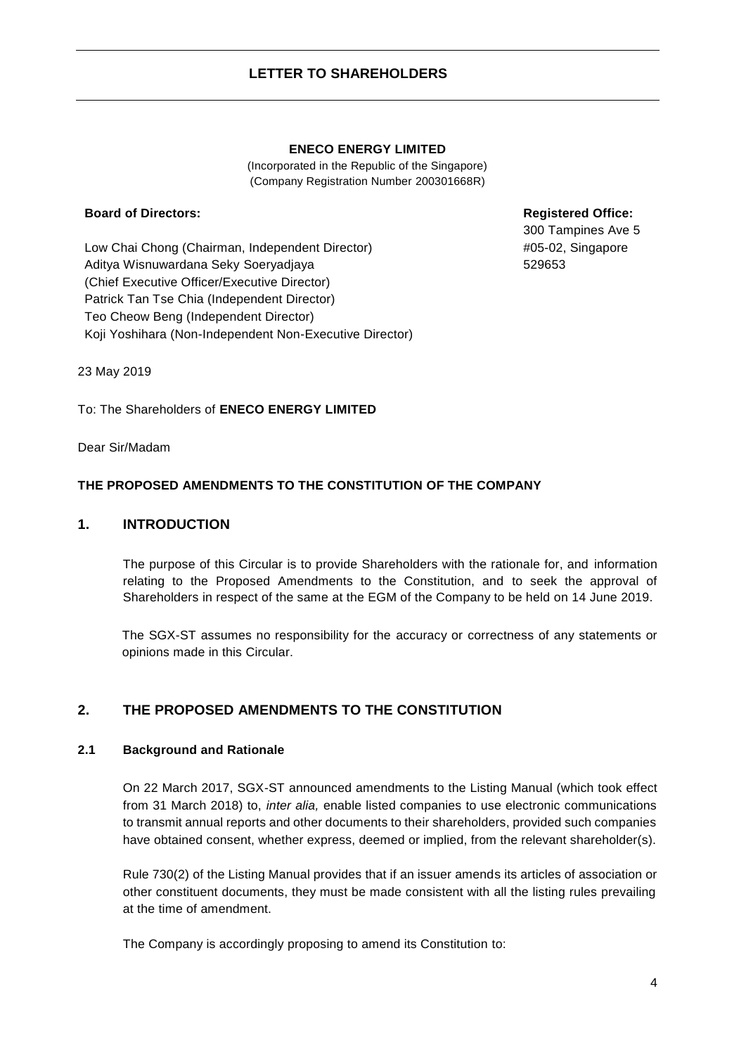#### **ENECO ENERGY LIMITED**

(Incorporated in the Republic of the Singapore) (Company Registration Number 200301668R)

#### <span id="page-5-0"></span>**Board of Directors:**

Low Chai Chong (Chairman, Independent Director) Aditya Wisnuwardana Seky Soeryadjaya (Chief Executive Officer/Executive Director) Patrick Tan Tse Chia (Independent Director) Teo Cheow Beng (Independent Director) Koji Yoshihara (Non-Independent Non-Executive Director) **Registered Office:**

300 Tampines Ave 5 #05-02, Singapore 529653

23 May 2019

To: The Shareholders of **ENECO ENERGY LIMITED**

Dear Sir/Madam

#### **THE PROPOSED AMENDMENTS TO THE CONSTITUTION OF THE COMPANY**

#### <span id="page-5-1"></span>**1. INTRODUCTION**

The purpose of this Circular is to provide Shareholders with the rationale for, and information relating to the Proposed Amendments to the Constitution, and to seek the approval of Shareholders in respect of the same at the EGM of the Company to be held on 14 June 2019.

The SGX-ST assumes no responsibility for the accuracy or correctness of any statements or opinions made in this Circular.

### <span id="page-5-2"></span>**2. THE PROPOSED AMENDMENTS TO THE CONSTITUTION**

#### **2.1 Background and Rationale**

On 22 March 2017, SGX-ST announced amendments to the Listing Manual (which took effect from 31 March 2018) to, *inter alia,* enable listed companies to use electronic communications to transmit annual reports and other documents to their shareholders, provided such companies have obtained consent, whether express, deemed or implied, from the relevant shareholder(s).

Rule 730(2) of the Listing Manual provides that if an issuer amends its articles of association or other constituent documents, they must be made consistent with all the listing rules prevailing at the time of amendment.

The Company is accordingly proposing to amend its Constitution to: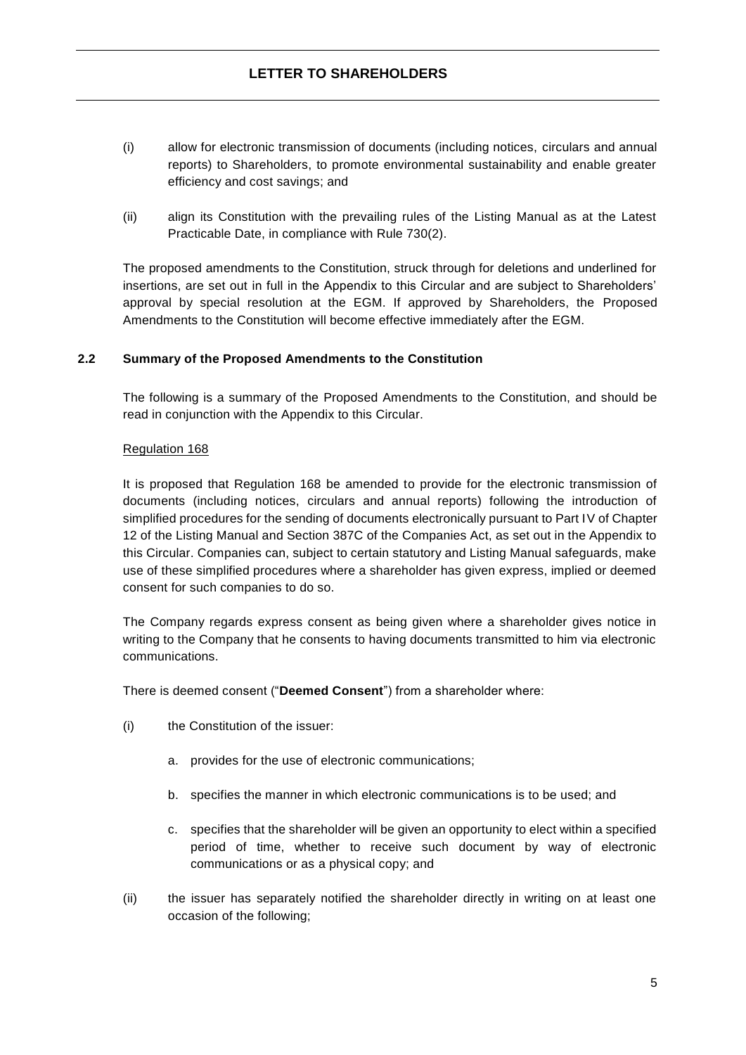- (i) allow for electronic transmission of documents (including notices, circulars and annual reports) to Shareholders, to promote environmental sustainability and enable greater efficiency and cost savings; and
- (ii) align its Constitution with the prevailing rules of the Listing Manual as at the Latest Practicable Date, in compliance with Rule 730(2).

The proposed amendments to the Constitution, struck through for deletions and underlined for insertions, are set out in full in the Appendix to this Circular and are subject to Shareholders' approval by special resolution at the EGM. If approved by Shareholders, the Proposed Amendments to the Constitution will become effective immediately after the EGM.

#### **2.2 Summary of the Proposed Amendments to the Constitution**

The following is a summary of the Proposed Amendments to the Constitution, and should be read in conjunction with the Appendix to this Circular.

#### Regulation 168

It is proposed that Regulation 168 be amended to provide for the electronic transmission of documents (including notices, circulars and annual reports) following the introduction of simplified procedures for the sending of documents electronically pursuant to Part IV of Chapter 12 of the Listing Manual and Section 387C of the Companies Act, as set out in the Appendix to this Circular. Companies can, subject to certain statutory and Listing Manual safeguards, make use of these simplified procedures where a shareholder has given express, implied or deemed consent for such companies to do so.

The Company regards express consent as being given where a shareholder gives notice in writing to the Company that he consents to having documents transmitted to him via electronic communications.

There is deemed consent ("**Deemed Consent**") from a shareholder where:

- (i) the Constitution of the issuer:
	- a. provides for the use of electronic communications;
	- b. specifies the manner in which electronic communications is to be used; and
	- c. specifies that the shareholder will be given an opportunity to elect within a specified period of time, whether to receive such document by way of electronic communications or as a physical copy; and
- (ii) the issuer has separately notified the shareholder directly in writing on at least one occasion of the following;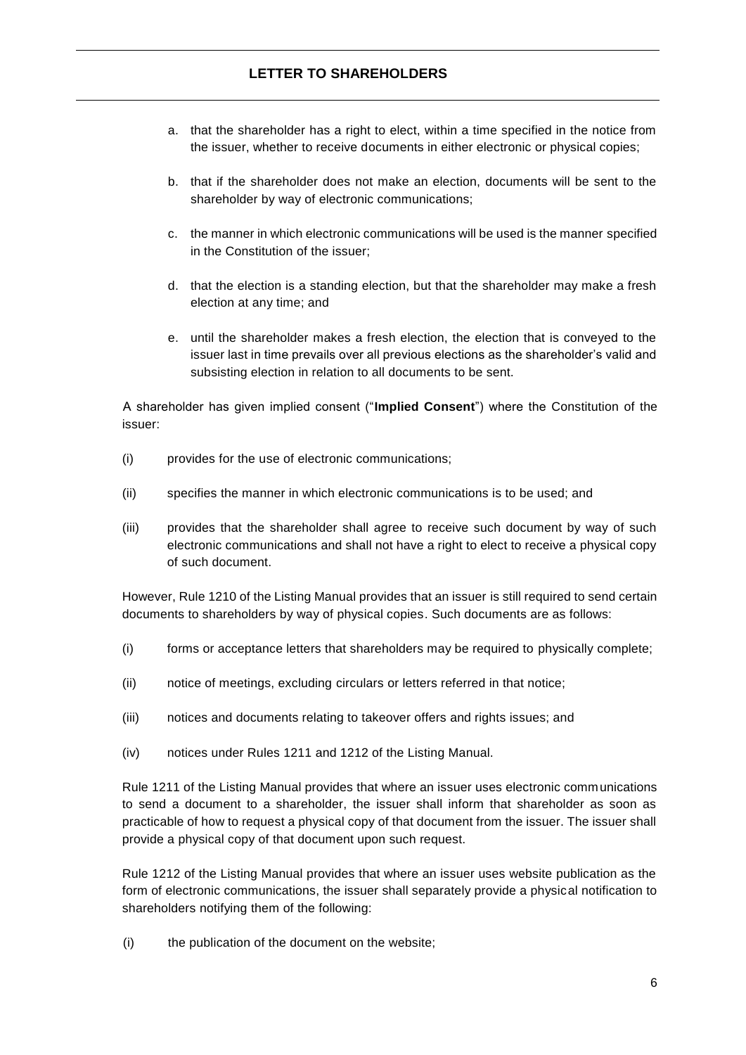### **LETTER TO SHAREHOLDERS**

- a. that the shareholder has a right to elect, within a time specified in the notice from the issuer, whether to receive documents in either electronic or physical copies;
- b. that if the shareholder does not make an election, documents will be sent to the shareholder by way of electronic communications;
- c. the manner in which electronic communications will be used is the manner specified in the Constitution of the issuer;
- d. that the election is a standing election, but that the shareholder may make a fresh election at any time; and
- e. until the shareholder makes a fresh election, the election that is conveyed to the issuer last in time prevails over all previous elections as the shareholder's valid and subsisting election in relation to all documents to be sent.

A shareholder has given implied consent ("**Implied Consent**") where the Constitution of the issuer:

- (i) provides for the use of electronic communications;
- (ii) specifies the manner in which electronic communications is to be used; and
- (iii) provides that the shareholder shall agree to receive such document by way of such electronic communications and shall not have a right to elect to receive a physical copy of such document.

However, Rule 1210 of the Listing Manual provides that an issuer is still required to send certain documents to shareholders by way of physical copies. Such documents are as follows:

- (i) forms or acceptance letters that shareholders may be required to physically complete;
- (ii) notice of meetings, excluding circulars or letters referred in that notice;
- (iii) notices and documents relating to takeover offers and rights issues; and
- (iv) notices under Rules 1211 and 1212 of the Listing Manual.

Rule 1211 of the Listing Manual provides that where an issuer uses electronic communications to send a document to a shareholder, the issuer shall inform that shareholder as soon as practicable of how to request a physical copy of that document from the issuer. The issuer shall provide a physical copy of that document upon such request.

Rule 1212 of the Listing Manual provides that where an issuer uses website publication as the form of electronic communications, the issuer shall separately provide a physical notification to shareholders notifying them of the following:

(i) the publication of the document on the website;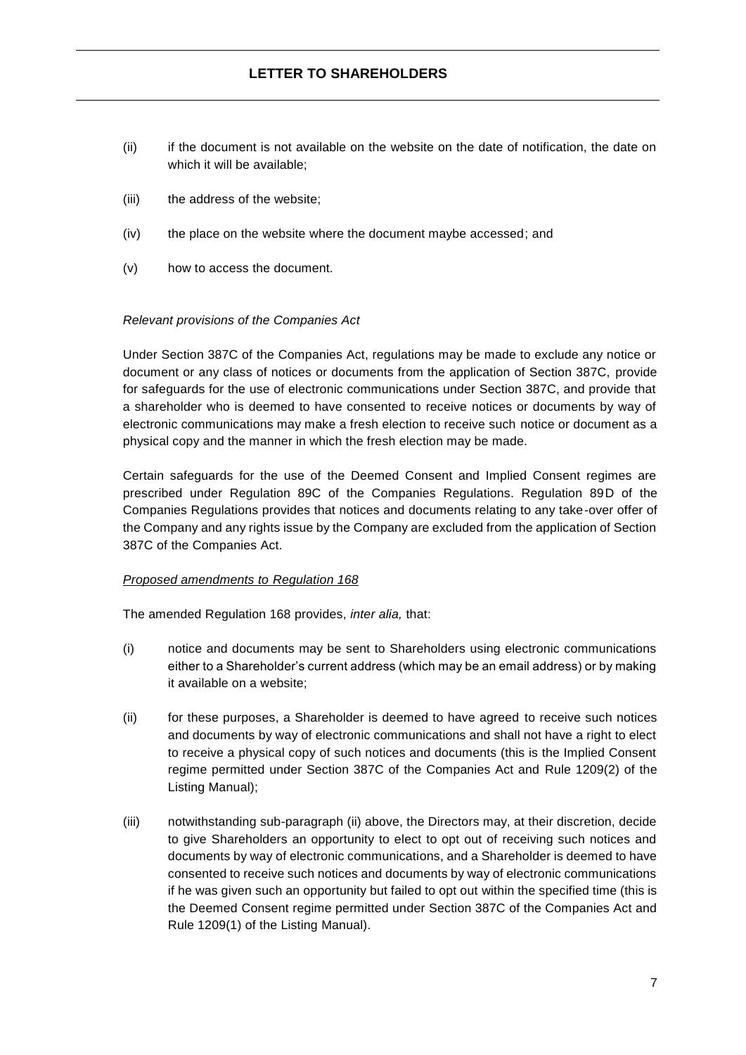- (ii) if the document is not available on the website on the date of notification, the date on which it will be available;
- (iii) the address of the website;
- (iv) the place on the website where the document maybe accessed; and
- (v) how to access the document.

#### *Relevant provisions of the Companies Act*

Under Section 387C of the Companies Act, regulations may be made to exclude any notice or document or any class of notices or documents from the application of Section 387C, provide for safeguards for the use of electronic communications under Section 387C, and provide that a shareholder who is deemed to have consented to receive notices or documents by way of electronic communications may make a fresh election to receive such notice or document as a physical copy and the manner in which the fresh election may be made.

Certain safeguards for the use of the Deemed Consent and Implied Consent regimes are prescribed under Regulation 89C of the Companies Regulations. Regulation 89D of the Companies Regulations provides that notices and documents relating to any take-over offer of the Company and any rights issue by the Company are excluded from the application of Section 387C of the Companies Act.

#### *Proposed amendments to Regulation 168*

The amended Regulation 168 provides, *inter alia,* that:

- (i) notice and documents may be sent to Shareholders using electronic communications either to a Shareholder's current address (which may be an email address) or by making it available on a website;
- (ii) for these purposes, a Shareholder is deemed to have agreed to receive such notices and documents by way of electronic communications and shall not have a right to elect to receive a physical copy of such notices and documents (this is the Implied Consent regime permitted under Section 387C of the Companies Act and Rule 1209(2) of the Listing Manual);
- (iii) notwithstanding sub-paragraph (ii) above, the Directors may, at their discretion, decide to give Shareholders an opportunity to elect to opt out of receiving such notices and documents by way of electronic communications, and a Shareholder is deemed to have consented to receive such notices and documents by way of electronic communications if he was given such an opportunity but failed to opt out within the specified time (this is the Deemed Consent regime permitted under Section 387C of the Companies Act and Rule 1209(1) of the Listing Manual).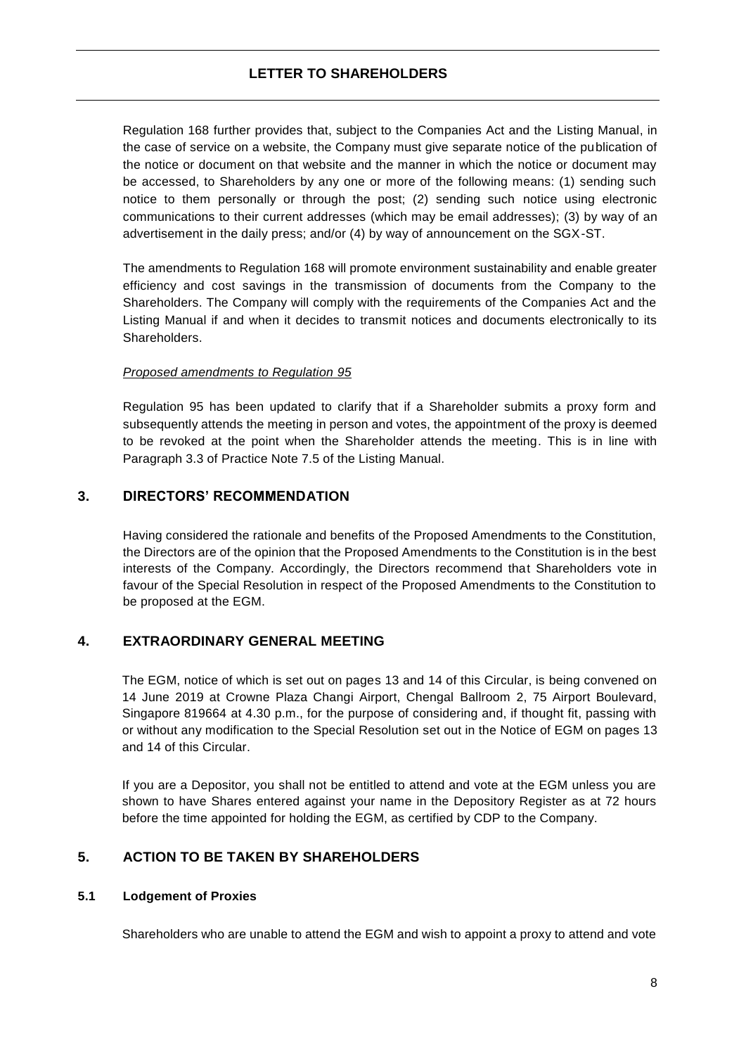Regulation 168 further provides that, subject to the Companies Act and the Listing Manual, in the case of service on a website, the Company must give separate notice of the publication of the notice or document on that website and the manner in which the notice or document may be accessed, to Shareholders by any one or more of the following means: (1) sending such notice to them personally or through the post; (2) sending such notice using electronic communications to their current addresses (which may be email addresses); (3) by way of an advertisement in the daily press; and/or (4) by way of announcement on the SGX-ST.

The amendments to Regulation 168 will promote environment sustainability and enable greater efficiency and cost savings in the transmission of documents from the Company to the Shareholders. The Company will comply with the requirements of the Companies Act and the Listing Manual if and when it decides to transmit notices and documents electronically to its Shareholders.

#### *Proposed amendments to Regulation 95*

Regulation 95 has been updated to clarify that if a Shareholder submits a proxy form and subsequently attends the meeting in person and votes, the appointment of the proxy is deemed to be revoked at the point when the Shareholder attends the meeting. This is in line with Paragraph 3.3 of Practice Note 7.5 of the Listing Manual.

### <span id="page-9-0"></span>**3. DIRECTORS' RECOMMENDATION**

Having considered the rationale and benefits of the Proposed Amendments to the Constitution, the Directors are of the opinion that the Proposed Amendments to the Constitution is in the best interests of the Company. Accordingly, the Directors recommend that Shareholders vote in favour of the Special Resolution in respect of the Proposed Amendments to the Constitution to be proposed at the EGM.

### <span id="page-9-1"></span>**4. EXTRAORDINARY GENERAL MEETING**

The EGM, notice of which is set out on pages 13 and 14 of this Circular, is being convened on 14 June 2019 at Crowne Plaza Changi Airport, Chengal Ballroom 2, 75 Airport Boulevard, Singapore 819664 at 4.30 p.m., for the purpose of considering and, if thought fit, passing with or without any modification to the Special Resolution set out in the Notice of EGM on pages 13 and 14 of this Circular.

If you are a Depositor, you shall not be entitled to attend and vote at the EGM unless you are shown to have Shares entered against your name in the Depository Register as at 72 hours before the time appointed for holding the EGM, as certified by CDP to the Company.

### <span id="page-9-2"></span>**5. ACTION TO BE TAKEN BY SHAREHOLDERS**

#### **5.1 Lodgement of Proxies**

Shareholders who are unable to attend the EGM and wish to appoint a proxy to attend and vote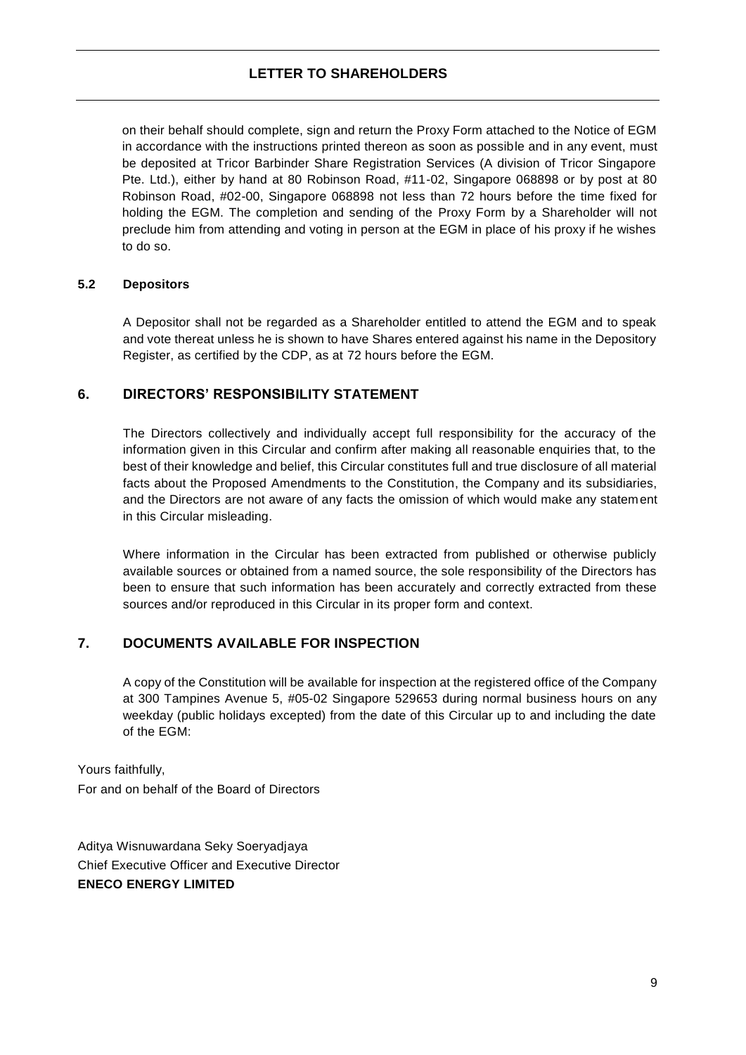### **LETTER TO SHAREHOLDERS**

on their behalf should complete, sign and return the Proxy Form attached to the Notice of EGM in accordance with the instructions printed thereon as soon as possible and in any event, must be deposited at Tricor Barbinder Share Registration Services (A division of Tricor Singapore Pte. Ltd.), either by hand at 80 Robinson Road, #11-02, Singapore 068898 or by post at 80 Robinson Road, #02-00, Singapore 068898 not less than 72 hours before the time fixed for holding the EGM. The completion and sending of the Proxy Form by a Shareholder will not preclude him from attending and voting in person at the EGM in place of his proxy if he wishes to do so.

#### **5.2 Depositors**

A Depositor shall not be regarded as a Shareholder entitled to attend the EGM and to speak and vote thereat unless he is shown to have Shares entered against his name in the Depository Register, as certified by the CDP, as at 72 hours before the EGM.

### <span id="page-10-0"></span>**6. DIRECTORS' RESPONSIBILITY STATEMENT**

The Directors collectively and individually accept full responsibility for the accuracy of the information given in this Circular and confirm after making all reasonable enquiries that, to the best of their knowledge and belief, this Circular constitutes full and true disclosure of all material facts about the Proposed Amendments to the Constitution, the Company and its subsidiaries, and the Directors are not aware of any facts the omission of which would make any statement in this Circular misleading.

Where information in the Circular has been extracted from published or otherwise publicly available sources or obtained from a named source, the sole responsibility of the Directors has been to ensure that such information has been accurately and correctly extracted from these sources and/or reproduced in this Circular in its proper form and context.

### <span id="page-10-1"></span>**7. DOCUMENTS AVAILABLE FOR INSPECTION**

A copy of the Constitution will be available for inspection at the registered office of the Company at 300 Tampines Avenue 5, #05-02 Singapore 529653 during normal business hours on any weekday (public holidays excepted) from the date of this Circular up to and including the date of the EGM:

Yours faithfully, For and on behalf of the Board of Directors

Aditya Wisnuwardana Seky Soeryadjaya Chief Executive Officer and Executive Director **ENECO ENERGY LIMITED**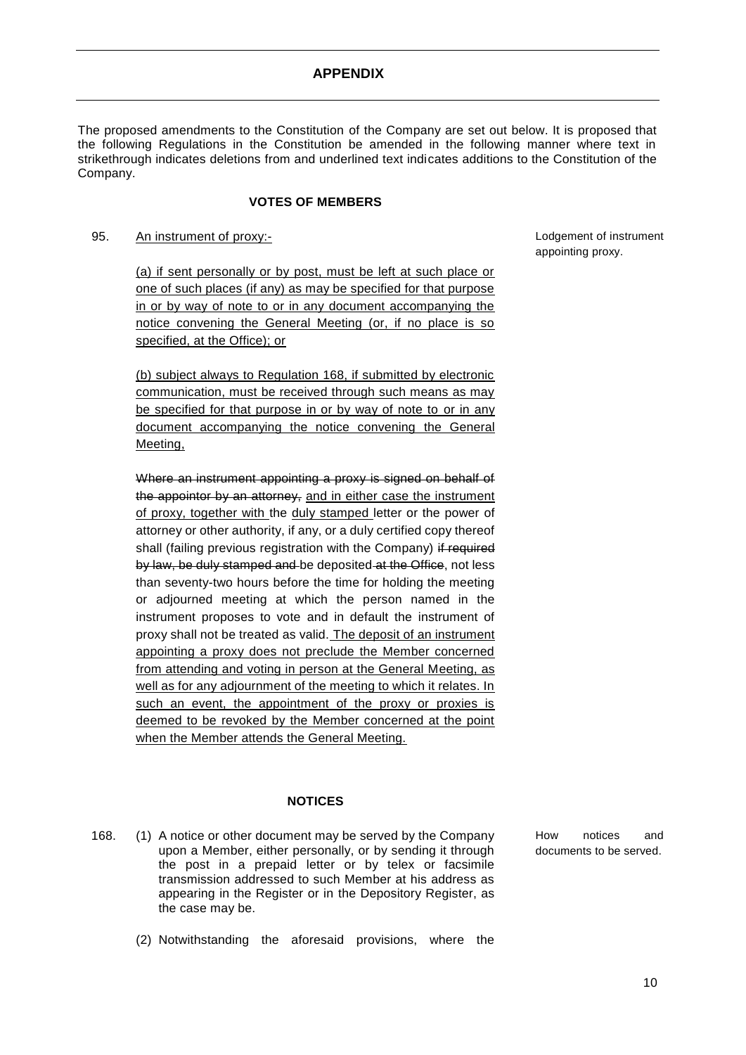#### **APPENDIX**

The proposed amendments to the Constitution of the Company are set out below. It is proposed that the following Regulations in the Constitution be amended in the following manner where text in strikethrough indicates deletions from and underlined text indicates additions to the Constitution of the Company.

#### **VOTES OF MEMBERS**

#### 95. An instrument of proxy:-

(a) if sent personally or by post, must be left at such place or one of such places (if any) as may be specified for that purpose in or by way of note to or in any document accompanying the notice convening the General Meeting (or, if no place is so specified, at the Office); or

(b) subject always to Regulation 168, if submitted by electronic communication, must be received through such means as may be specified for that purpose in or by way of note to or in any document accompanying the notice convening the General Meeting,

Where an instrument appointing a proxy is signed on behalf of the appointor by an attorney, and in either case the instrument of proxy, together with the duly stamped letter or the power of attorney or other authority, if any, or a duly certified copy thereof shall (failing previous registration with the Company) if required by law, be duly stamped and be deposited at the Office, not less than seventy-two hours before the time for holding the meeting or adjourned meeting at which the person named in the instrument proposes to vote and in default the instrument of proxy shall not be treated as valid. The deposit of an instrument appointing a proxy does not preclude the Member concerned from attending and voting in person at the General Meeting, as well as for any adjournment of the meeting to which it relates. In such an event, the appointment of the proxy or proxies is deemed to be revoked by the Member concerned at the point when the Member attends the General Meeting.

#### **NOTICES**

(2) Notwithstanding the aforesaid provisions, where the

168. (1) A notice or other document may be served by the Company upon a Member, either personally, or by sending it through the post in a prepaid letter or by telex or facsimile transmission addressed to such Member at his address as appearing in the Register or in the Depository Register, as the case may be.

How notices and documents to be served.

Lodgement of instrument appointing proxy.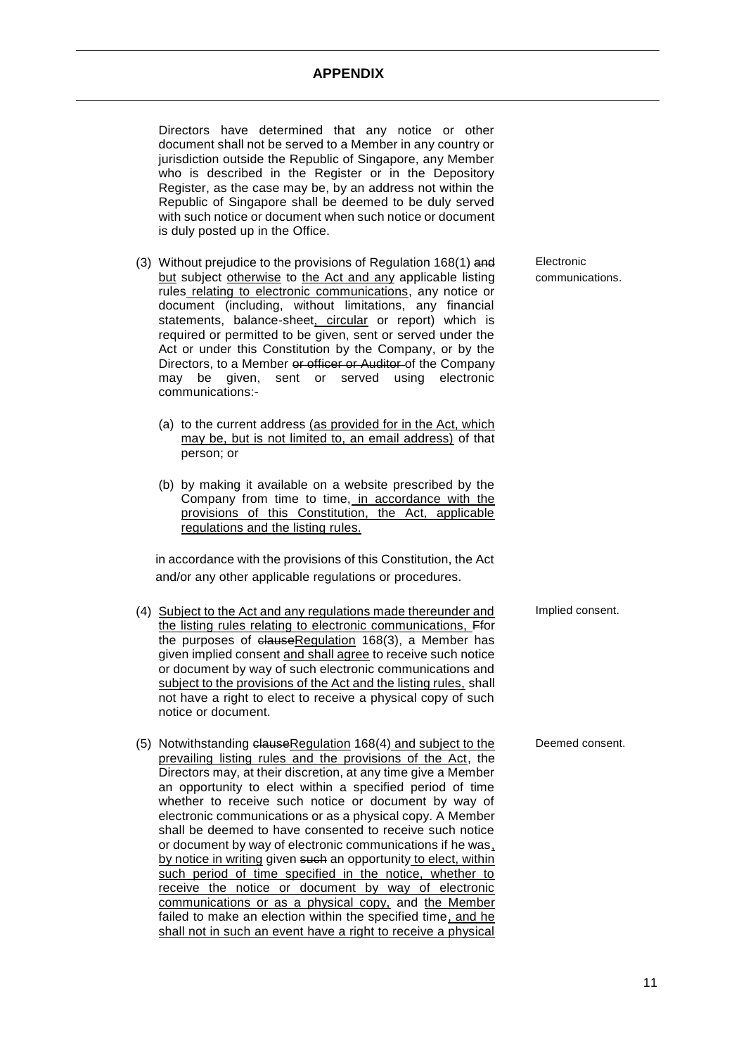#### **APPENDIX**

Directors have determined that any notice or other document shall not be served to a Member in any country or jurisdiction outside the Republic of Singapore, any Member who is described in the Register or in the Depository Register, as the case may be, by an address not within the Republic of Singapore shall be deemed to be duly served with such notice or document when such notice or document is duly posted up in the Office.

- (3) Without prejudice to the provisions of Regulation 168(1) and but subject otherwise to the Act and any applicable listing rules relating to electronic communications, any notice or document (including, without limitations, any financial statements, balance-sheet, circular or report) which is required or permitted to be given, sent or served under the Act or under this Constitution by the Company, or by the Directors, to a Member or officer or Auditor of the Company may be given, sent or served using electronic communications:-
	- (a) to the current address (as provided for in the Act, which may be, but is not limited to, an email address) of that person; or
	- (b) by making it available on a website prescribed by the Company from time to time, in accordance with the provisions of this Constitution, the Act, applicable regulations and the listing rules.

in accordance with the provisions of this Constitution, the Act and/or any other applicable regulations or procedures.

- (4) Subject to the Act and any regulations made thereunder and the listing rules relating to electronic communications, Ffor the purposes of clauseRegulation 168(3), a Member has given implied consent and shall agree to receive such notice or document by way of such electronic communications and subject to the provisions of the Act and the listing rules, shall not have a right to elect to receive a physical copy of such notice or document. Implied consent.
- (5) Notwithstanding clauseRegulation 168(4) and subject to the prevailing listing rules and the provisions of the Act, the Directors may, at their discretion, at any time give a Member an opportunity to elect within a specified period of time whether to receive such notice or document by way of electronic communications or as a physical copy. A Member shall be deemed to have consented to receive such notice or document by way of electronic communications if he was, by notice in writing given such an opportunity to elect, within such period of time specified in the notice, whether to receive the notice or document by way of electronic communications or as a physical copy, and the Member failed to make an election within the specified time, and he shall not in such an event have a right to receive a physical

Electronic communications.

Deemed consent.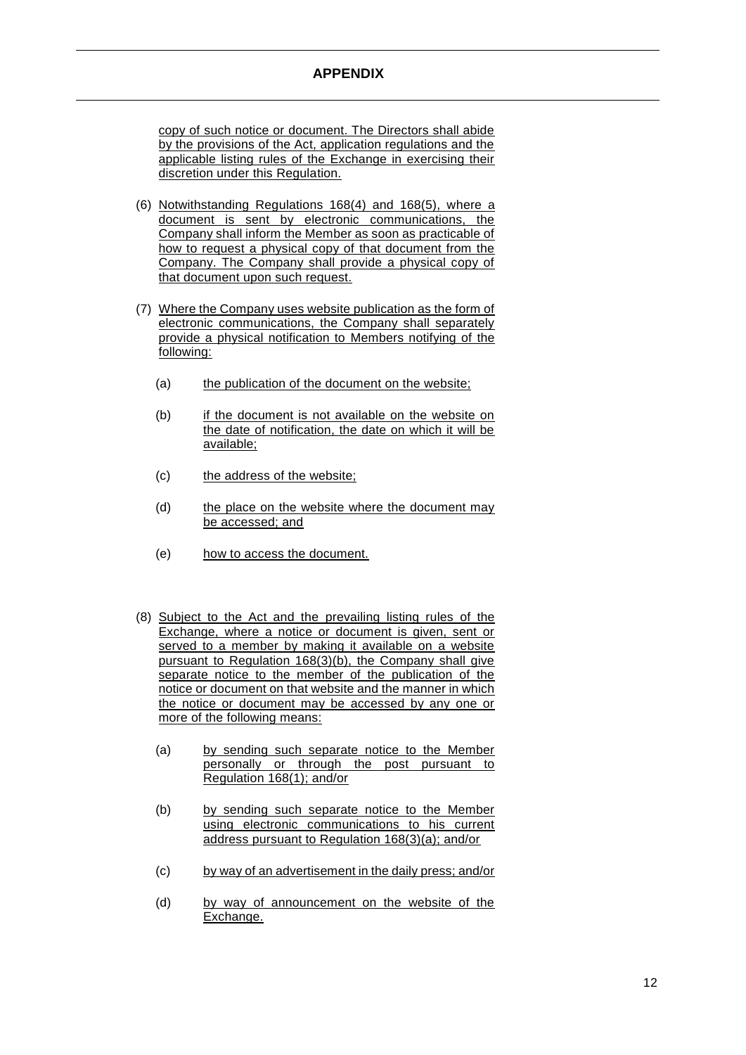#### **APPENDIX**

copy of such notice or document. The Directors shall abide by the provisions of the Act, application regulations and the applicable listing rules of the Exchange in exercising their discretion under this Regulation.

- (6) Notwithstanding Regulations 168(4) and 168(5), where a document is sent by electronic communications, the Company shall inform the Member as soon as practicable of how to request a physical copy of that document from the Company. The Company shall provide a physical copy of that document upon such request.
- (7) Where the Company uses website publication as the form of electronic communications, the Company shall separately provide a physical notification to Members notifying of the following:
	- (a) the publication of the document on the website;
	- (b) if the document is not available on the website on the date of notification, the date on which it will be available;
	- (c) the address of the website;
	- (d) the place on the website where the document may be accessed; and
	- (e) how to access the document.
- (8) Subject to the Act and the prevailing listing rules of the Exchange, where a notice or document is given, sent or served to a member by making it available on a website pursuant to Regulation 168(3)(b), the Company shall give separate notice to the member of the publication of the notice or document on that website and the manner in which the notice or document may be accessed by any one or more of the following means:
	- (a) by sending such separate notice to the Member personally or through the post pursuant to Regulation 168(1); and/or
	- (b) by sending such separate notice to the Member using electronic communications to his current address pursuant to Regulation 168(3)(a); and/or
	- (c) by way of an advertisement in the daily press; and/or
	- (d) by way of announcement on the website of the Exchange.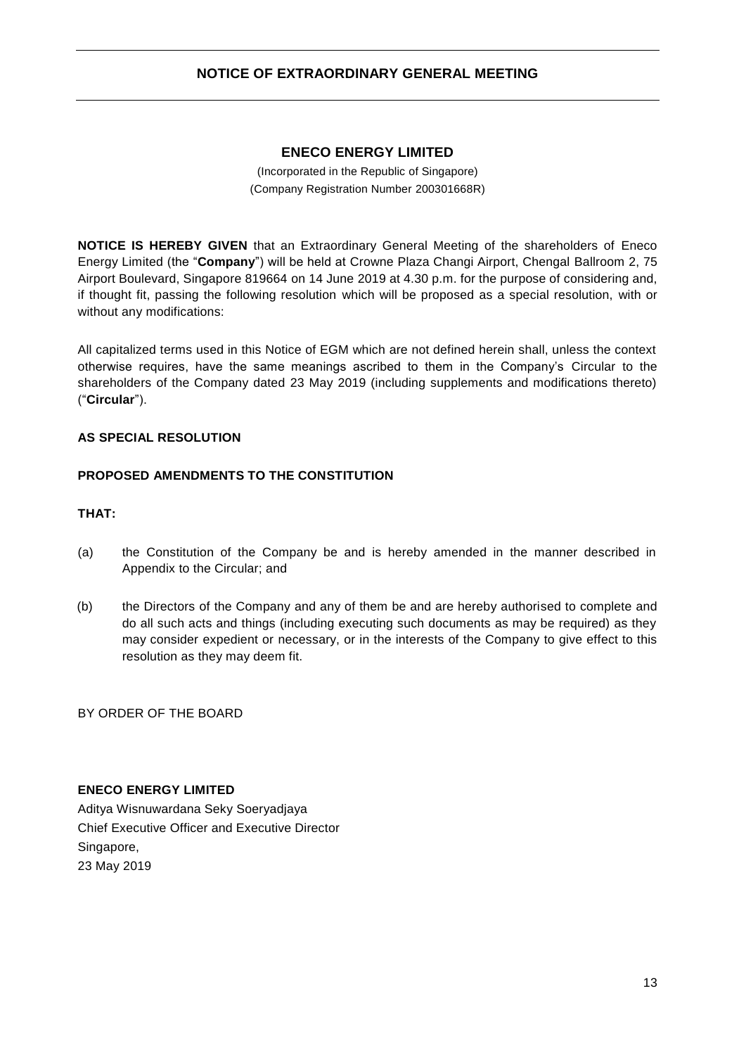### **NOTICE OF EXTRAORDINARY GENERAL MEETING**

#### **ENECO ENERGY LIMITED**

(Incorporated in the Republic of Singapore) (Company Registration Number 200301668R)

<span id="page-14-0"></span>**NOTICE IS HEREBY GIVEN** that an Extraordinary General Meeting of the shareholders of Eneco Energy Limited (the "**Company**") will be held at Crowne Plaza Changi Airport, Chengal Ballroom 2, 75 Airport Boulevard, Singapore 819664 on 14 June 2019 at 4.30 p.m. for the purpose of considering and, if thought fit, passing the following resolution which will be proposed as a special resolution, with or without any modifications:

All capitalized terms used in this Notice of EGM which are not defined herein shall, unless the context otherwise requires, have the same meanings ascribed to them in the Company's Circular to the shareholders of the Company dated 23 May 2019 (including supplements and modifications thereto) ("**Circular**").

#### **AS SPECIAL RESOLUTION**

#### **PROPOSED AMENDMENTS TO THE CONSTITUTION**

#### **THAT:**

- (a) the Constitution of the Company be and is hereby amended in the manner described in Appendix to the Circular; and
- (b) the Directors of the Company and any of them be and are hereby authorised to complete and do all such acts and things (including executing such documents as may be required) as they may consider expedient or necessary, or in the interests of the Company to give effect to this resolution as they may deem fit.

BY ORDER OF THE BOARD

#### **ENECO ENERGY LIMITED**

Aditya Wisnuwardana Seky Soeryadjaya Chief Executive Officer and Executive Director Singapore, 23 May 2019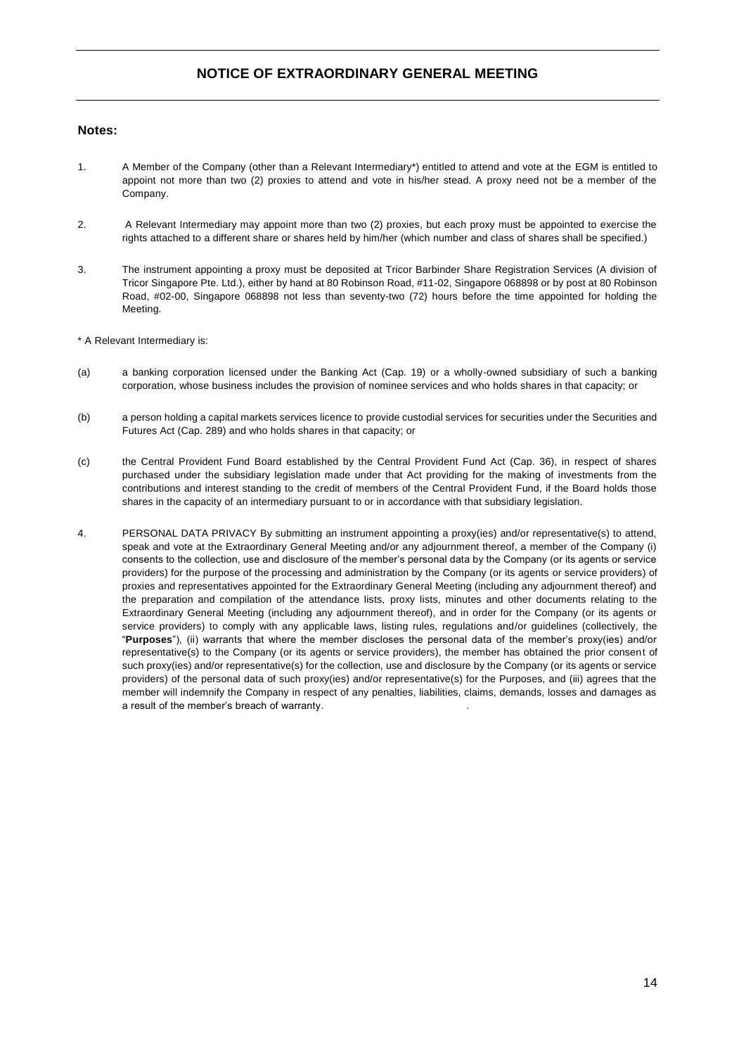### **NOTICE OF EXTRAORDINARY GENERAL MEETING**

#### **Notes:**

- 1. A Member of the Company (other than a Relevant Intermediary\*) entitled to attend and vote at the EGM is entitled to appoint not more than two (2) proxies to attend and vote in his/her stead. A proxy need not be a member of the Company.
- 2. A Relevant Intermediary may appoint more than two (2) proxies, but each proxy must be appointed to exercise the rights attached to a different share or shares held by him/her (which number and class of shares shall be specified.)
- 3. The instrument appointing a proxy must be deposited at Tricor Barbinder Share Registration Services (A division of Tricor Singapore Pte. Ltd.), either by hand at 80 Robinson Road, #11-02, Singapore 068898 or by post at 80 Robinson Road, #02-00, Singapore 068898 not less than seventy-two (72) hours before the time appointed for holding the Meeting.

\* A Relevant Intermediary is:

- (a) a banking corporation licensed under the Banking Act (Cap. 19) or a wholly-owned subsidiary of such a banking corporation, whose business includes the provision of nominee services and who holds shares in that capacity; or
- (b) a person holding a capital markets services licence to provide custodial services for securities under the Securities and Futures Act (Cap. 289) and who holds shares in that capacity; or
- (c) the Central Provident Fund Board established by the Central Provident Fund Act (Cap. 36), in respect of shares purchased under the subsidiary legislation made under that Act providing for the making of investments from the contributions and interest standing to the credit of members of the Central Provident Fund, if the Board holds those shares in the capacity of an intermediary pursuant to or in accordance with that subsidiary legislation.
- 4. PERSONAL DATA PRIVACY By submitting an instrument appointing a proxy(ies) and/or representative(s) to attend, speak and vote at the Extraordinary General Meeting and/or any adjournment thereof, a member of the Company (i) consents to the collection, use and disclosure of the member's personal data by the Company (or its agents or service providers) for the purpose of the processing and administration by the Company (or its agents or service providers) of proxies and representatives appointed for the Extraordinary General Meeting (including any adjournment thereof) and the preparation and compilation of the attendance lists, proxy lists, minutes and other documents relating to the Extraordinary General Meeting (including any adjournment thereof), and in order for the Company (or its agents or service providers) to comply with any applicable laws, listing rules, regulations and/or guidelines (collectively, the "**Purposes**"), (ii) warrants that where the member discloses the personal data of the member's proxy(ies) and/or representative(s) to the Company (or its agents or service providers), the member has obtained the prior consent of such proxy(ies) and/or representative(s) for the collection, use and disclosure by the Company (or its agents or service providers) of the personal data of such proxy(ies) and/or representative(s) for the Purposes, and (iii) agrees that the member will indemnify the Company in respect of any penalties, liabilities, claims, demands, losses and damages as a result of the member's breach of warranty. .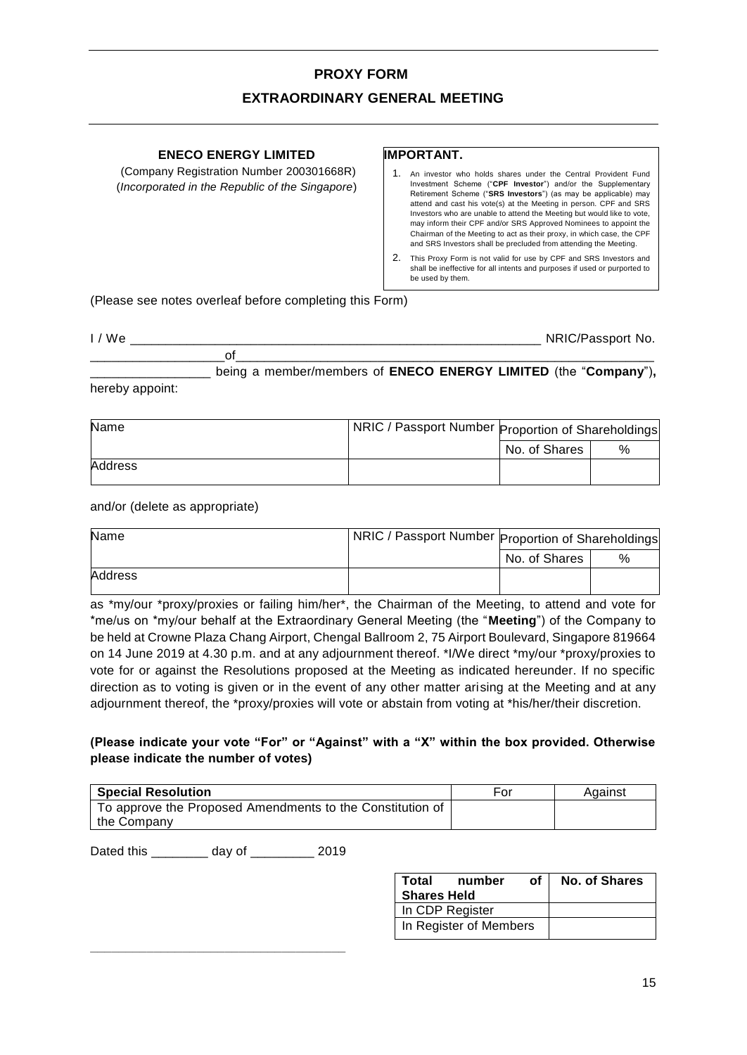# **PROXY FORM**

### **EXTRAORDINARY GENERAL MEETING**

| <b>ENECO ENERGY LIMITED</b><br>(Company Registration Number 200301668R)<br>(Incorporated in the Republic of the Singapore) | <b>IMPORTANT.</b><br>An investor who holds shares under the Central Provident Fund<br>Investment Scheme ("CPF Investor") and/or the Supplementary<br>Retirement Scheme ("SRS Investors") (as may be applicable) may<br>attend and cast his vote(s) at the Meeting in person. CPF and SRS<br>Investors who are unable to attend the Meeting but would like to vote,<br>may inform their CPF and/or SRS Approved Nominees to appoint the<br>Chairman of the Meeting to act as their proxy, in which case, the CPF<br>and SRS Investors shall be precluded from attending the Meeting.<br>2.<br>This Proxy Form is not valid for use by CPF and SRS Investors and<br>shall be ineffective for all intents and purposes if used or purported to<br>be used by them. |
|----------------------------------------------------------------------------------------------------------------------------|-----------------------------------------------------------------------------------------------------------------------------------------------------------------------------------------------------------------------------------------------------------------------------------------------------------------------------------------------------------------------------------------------------------------------------------------------------------------------------------------------------------------------------------------------------------------------------------------------------------------------------------------------------------------------------------------------------------------------------------------------------------------|
|                                                                                                                            |                                                                                                                                                                                                                                                                                                                                                                                                                                                                                                                                                                                                                                                                                                                                                                 |

(Please see notes overleaf before completing this Form)

| $\mathbf{u}$<br><b>MM</b><br>_____ | _____________<br>- - -<br>______ |
|------------------------------------|----------------------------------|
|                                    |                                  |

\_\_\_\_\_\_\_\_\_\_\_\_\_\_\_\_\_ being a member/members of **ENECO ENERGY LIMITED** (the "**Company**")**,**  hereby appoint:

| Name    | <b>NRIC / Passport Number Proportion of Shareholdings</b> |               |   |
|---------|-----------------------------------------------------------|---------------|---|
|         |                                                           | No. of Shares | % |
| Address |                                                           |               |   |

and/or (delete as appropriate)

| Name    | NRIC / Passport Number Proportion of Shareholdings |               |   |
|---------|----------------------------------------------------|---------------|---|
|         |                                                    | No. of Shares | % |
| Address |                                                    |               |   |

as \*my/our \*proxy/proxies or failing him/her\*, the Chairman of the Meeting, to attend and vote for \*me/us on \*my/our behalf at the Extraordinary General Meeting (the "**Meeting**") of the Company to be held at Crowne Plaza Chang Airport, Chengal Ballroom 2, 75 Airport Boulevard, Singapore 819664 on 14 June 2019 at 4.30 p.m. and at any adjournment thereof. \*I/We direct \*my/our \*proxy/proxies to vote for or against the Resolutions proposed at the Meeting as indicated hereunder. If no specific direction as to voting is given or in the event of any other matter arising at the Meeting and at any adjournment thereof, the \*proxy/proxies will vote or abstain from voting at \*his/her/their discretion.

#### **(Please indicate your vote "For" or "Against" with a "X" within the box provided. Otherwise please indicate the number of votes)**

| <b>Special Resolution</b>                                 | For | Against |
|-----------------------------------------------------------|-----|---------|
| To approve the Proposed Amendments to the Constitution of |     |         |
| the Company                                               |     |         |

Dated this \_\_\_\_\_\_\_\_ day of \_\_\_\_\_\_\_\_\_ 2019

**\_\_\_\_\_\_\_\_\_\_\_\_\_\_\_\_\_\_\_\_\_\_\_\_\_\_\_\_\_\_\_\_\_\_\_\_**

| Total<br>number<br>of l<br><b>Shares Held</b> | <b>No. of Shares</b> |
|-----------------------------------------------|----------------------|
| In CDP Register                               |                      |
| In Register of Members                        |                      |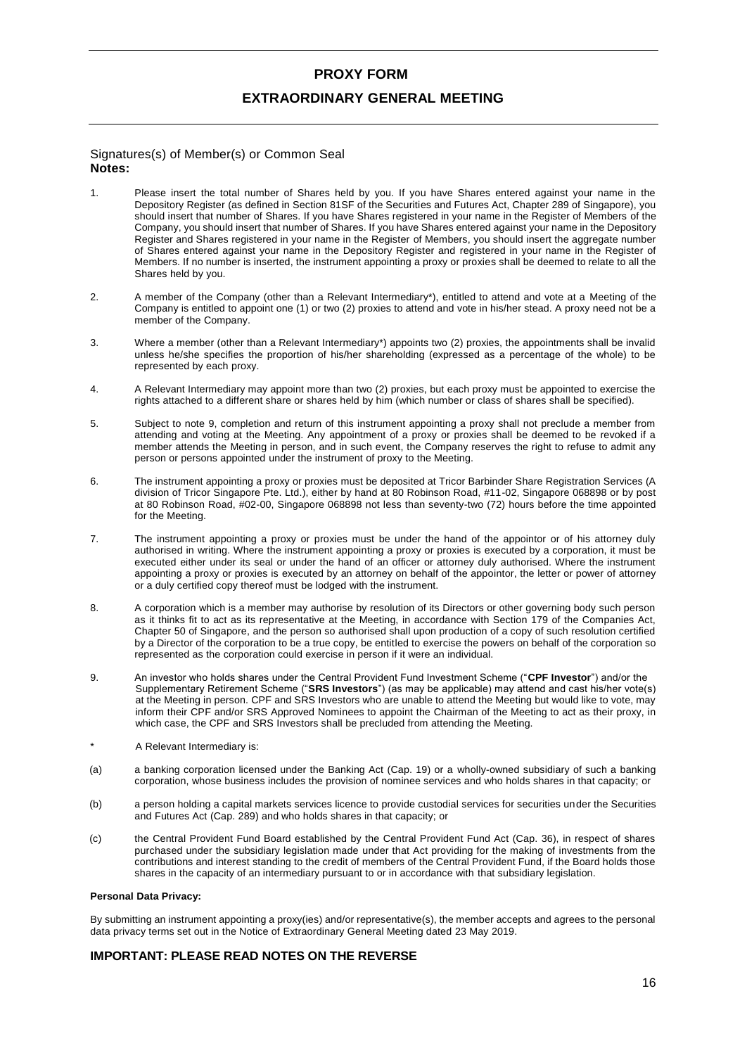# **PROXY FORM**

#### **EXTRAORDINARY GENERAL MEETING**

#### Signatures(s) of Member(s) or Common Seal **Notes:**

- 1. Please insert the total number of Shares held by you. If you have Shares entered against your name in the Depository Register (as defined in Section 81SF of the Securities and Futures Act, Chapter 289 of Singapore), you should insert that number of Shares. If you have Shares registered in your name in the Register of Members of the Company, you should insert that number of Shares. If you have Shares entered against your name in the Depository Register and Shares registered in your name in the Register of Members, you should insert the aggregate number of Shares entered against your name in the Depository Register and registered in your name in the Register of Members. If no number is inserted, the instrument appointing a proxy or proxies shall be deemed to relate to all the Shares held by you.
- 2. A member of the Company (other than a Relevant Intermediary\*), entitled to attend and vote at a Meeting of the Company is entitled to appoint one (1) or two (2) proxies to attend and vote in his/her stead. A proxy need not be a member of the Company.
- 3. Where a member (other than a Relevant Intermediary\*) appoints two (2) proxies, the appointments shall be invalid unless he/she specifies the proportion of his/her shareholding (expressed as a percentage of the whole) to be represented by each proxy.
- 4. A Relevant Intermediary may appoint more than two (2) proxies, but each proxy must be appointed to exercise the rights attached to a different share or shares held by him (which number or class of shares shall be specified).
- 5. Subject to note 9, completion and return of this instrument appointing a proxy shall not preclude a member from attending and voting at the Meeting. Any appointment of a proxy or proxies shall be deemed to be revoked if a member attends the Meeting in person, and in such event, the Company reserves the right to refuse to admit any person or persons appointed under the instrument of proxy to the Meeting.
- 6. The instrument appointing a proxy or proxies must be deposited at Tricor Barbinder Share Registration Services (A division of Tricor Singapore Pte. Ltd.), either by hand at 80 Robinson Road, #11-02, Singapore 068898 or by post at 80 Robinson Road, #02-00, Singapore 068898 not less than seventy-two (72) hours before the time appointed for the Meeting.
- 7. The instrument appointing a proxy or proxies must be under the hand of the appointor or of his attorney duly authorised in writing. Where the instrument appointing a proxy or proxies is executed by a corporation, it must be executed either under its seal or under the hand of an officer or attorney duly authorised. Where the instrument appointing a proxy or proxies is executed by an attorney on behalf of the appointor, the letter or power of attorney or a duly certified copy thereof must be lodged with the instrument.
- 8. A corporation which is a member may authorise by resolution of its Directors or other governing body such person as it thinks fit to act as its representative at the Meeting, in accordance with Section 179 of the Companies Act, Chapter 50 of Singapore, and the person so authorised shall upon production of a copy of such resolution certified by a Director of the corporation to be a true copy, be entitled to exercise the powers on behalf of the corporation so represented as the corporation could exercise in person if it were an individual.
- 9. An investor who holds shares under the Central Provident Fund Investment Scheme ("**CPF Investor**") and/or the Supplementary Retirement Scheme ("**SRS Investors**") (as may be applicable) may attend and cast his/her vote(s) at the Meeting in person. CPF and SRS Investors who are unable to attend the Meeting but would like to vote, may inform their CPF and/or SRS Approved Nominees to appoint the Chairman of the Meeting to act as their proxy, in which case, the CPF and SRS Investors shall be precluded from attending the Meeting.
- A Relevant Intermediary is:
- (a) a banking corporation licensed under the Banking Act (Cap. 19) or a wholly-owned subsidiary of such a banking corporation, whose business includes the provision of nominee services and who holds shares in that capacity; or
- (b) a person holding a capital markets services licence to provide custodial services for securities under the Securities and Futures Act (Cap. 289) and who holds shares in that capacity; or
- (c) the Central Provident Fund Board established by the Central Provident Fund Act (Cap. 36), in respect of shares purchased under the subsidiary legislation made under that Act providing for the making of investments from the contributions and interest standing to the credit of members of the Central Provident Fund, if the Board holds those shares in the capacity of an intermediary pursuant to or in accordance with that subsidiary legislation.

#### **Personal Data Privacy:**

By submitting an instrument appointing a proxy(ies) and/or representative(s), the member accepts and agrees to the personal data privacy terms set out in the Notice of Extraordinary General Meeting dated 23 May 2019.

#### **IMPORTANT: PLEASE READ NOTES ON THE REVERSE**